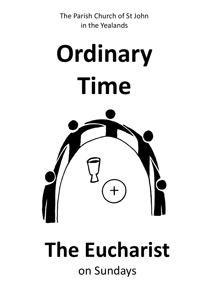The Parish Church of St John in the Yealands





# **The Eucharist** on Sundays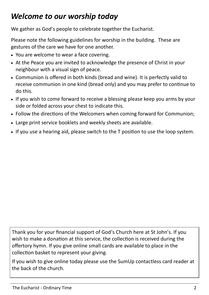# *Welcome to our worship today*

We gather as God's people to celebrate together the Eucharist.

Please note the following guidelines for worship in the building. These are gestures of the care we have for one another.

- You are welcome to wear a face covering.
- At the Peace you are invited to acknowledge the presence of Christ in your neighbour with a visual sign of peace.
- Communion is offered in both kinds (bread and wine). It is perfectly valid to receive communion in one kind (bread only) and you may prefer to continue to do this.
- If you wish to come forward to receive a blessing please keep you arms by your side or folded across your chest to indicate this.
- Follow the directions of the Welcomers when coming forward for Communion;
- Large print service booklets and weekly sheets are available.
- If you use a hearing aid, please switch to the T position to use the loop system.

Thank you for your financial support of God's Church here at St John's. If you wish to make a donation at this service, the collection is received during the offertory hymn. If you give online small cards are available to place in the collection basket to represent your giving.

If you wish to give online today please use the SumUp contactless card reader at the back of the church.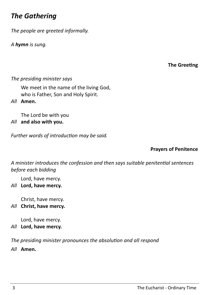# *The Gathering*

*The people are greeted informally.*

*A hymn is sung.*

### **The Greeting**

#### *The presiding minister says*

We meet in the name of the living God, who is Father, Son and Holy Spirit.

*All* **Amen.**

The Lord be with you

*All* **and also with you.** 

*Further words of introduction may be said.*

#### **Prayers of Penitence**

*A minister introduces the confession and then says suitable penitential sentences before each bidding*

Lord, have mercy.

*All* **Lord, have mercy.**

Christ, have mercy.

*All* **Christ, have mercy.**

Lord, have mercy.

*All* **Lord, have mercy.**

*The presiding minister pronounces the absolution and all respond*

*All* **Amen.**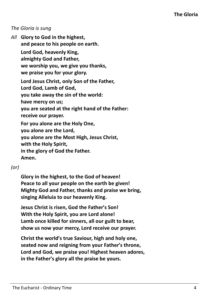### *The Gloria is sung*

*All* **Glory to God in the highest, and peace to his people on earth. Lord God, heavenly King, almighty God and Father, we worship you, we give you thanks, we praise you for your glory. Lord Jesus Christ, only Son of the Father, Lord God, Lamb of God, you take away the sin of the world: have mercy on us; you are seated at the right hand of the Father: receive our prayer. For you alone are the Holy One, you alone are the Lord, you alone are the Most High, Jesus Christ, with the Holy Spirit, in the glory of God the Father. Amen.**

## *(or)*

**Glory in the highest, to the God of heaven! Peace to all your people on the earth be given! Mighty God and Father, thanks and praise we bring, singing Alleluia to our heavenly King.** 

**Jesus Christ is risen, God the Father's Son! With the Holy Spirit, you are Lord alone! Lamb once killed for sinners, all our guilt to bear, show us now your mercy, Lord receive our prayer.** 

**Christ the world's true Saviour, high and holy one, seated now and reigning from your Father's throne, Lord and God, we praise you! Highest heaven adores, in the Father's glory all the praise be yours.**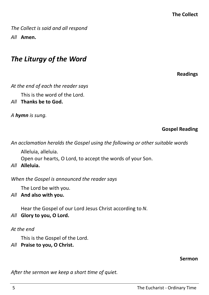*The Collect is said and all respond All* **Amen.**

# *The Liturgy of the Word*

**Readings**

*At the end of each the reader says*

This is the word of the Lord.

*All* **Thanks be to God.**

*A hymn is sung.* 

**Gospel Reading**

*An acclamation heralds the Gospel using the following or other suitable words*

Alleluia, alleluia.

Open our hearts, O Lord, to accept the words of your Son.

*All* **Alleluia.**

*When the Gospel is announced the reader says*

The Lord be with you.

*All* **And also with you.**

Hear the Gospel of our Lord Jesus Christ according to *N*.

# *All* **Glory to you, O Lord.**

# *At the end*

This is the Gospel of the Lord.

*All* **Praise to you, O Christ.**

#### **Sermon**

*After the sermon we keep a short time of quiet.*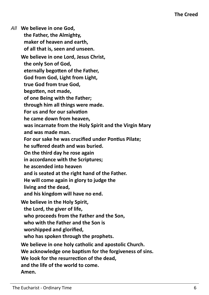*All* **We believe in one God, the Father, the Almighty, maker of heaven and earth, of all that is, seen and unseen. We believe in one Lord, Jesus Christ, the only Son of God, eternally begotten of the Father, God from God, Light from Light, true God from true God, begotten, not made, of one Being with the Father; through him all things were made. For us and for our salvation he came down from heaven, was incarnate from the Holy Spirit and the Virgin Mary and was made man. For our sake he was crucified under Pontius Pilate; he suffered death and was buried. On the third day he rose again in accordance with the Scriptures; he ascended into heaven and is seated at the right hand of the Father. He will come again in glory to judge the living and the dead, and his kingdom will have no end. We believe in the Holy Spirit, the Lord, the giver of life, who proceeds from the Father and the Son, who with the Father and the Son is worshipped and glorified, who has spoken through the prophets. We believe in one holy catholic and apostolic Church. We acknowledge one baptism for the forgiveness of sins. We look for the resurrection of the dead, and the life of the world to come. Amen.**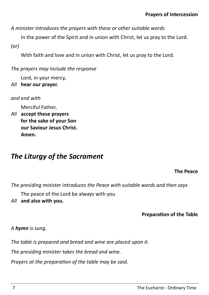*A minister introduces the prayers with these or other suitable words*

In the power of the Spirit and in union with Christ, let us pray to the Lord. *(or)*

With faith and love and in union with Christ, let us pray to the Lord.

*The prayers may include the response*

Lord, in your mercy,

*All* **hear our prayer.**

*and end with*

Merciful Father,

*All* **accept these prayers for the sake of your Son our Saviour Jesus Christ. Amen.**

# *The Liturgy of the Sacrament*

**The Peace**

*The presiding minister introduces the Peace with suitable words and then says*

The peace of the Lord be always with you

*All* **and also with you.**

**Preparation of the Table**

# *A hymn is sung.*

*The table is prepared and bread and wine are placed upon it.*

*The presiding minister takes the bread and wine.*

*Prayers at the preparation of the table may be said.*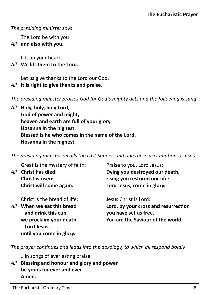### *The presiding minister says*

The Lord be with you

*All* **and also with you.**

Lift up your hearts.

## *All* **We lift them to the Lord.**

Let us give thanks to the Lord our God.

# *All* **It is right to give thanks and praise.**

*The presiding minister praises God for God's mighty acts and the following is sung*

*All* **Holy, holy, holy Lord, God of power and might, heaven and earth are full of your glory. Hosanna in the highest. Blessed is he who comes in the name of the Lord. Hosanna in the highest.**

*The presiding minister recalls the Last Supper, and one these acclamations is used*

|     | Great is the mystery of faith:                                           | Praise to you, Lord Jesus:                                                                         |
|-----|--------------------------------------------------------------------------|----------------------------------------------------------------------------------------------------|
| All | <b>Christ has died:</b>                                                  | Dying you destroyed our death,                                                                     |
|     | <b>Christ is risen:</b>                                                  | rising you restored our life:                                                                      |
|     | Christ will come again.                                                  | Lord Jesus, come in glory.                                                                         |
|     | Christ is the bread of life:                                             | Jesus Christ is Lord:                                                                              |
| All | When we eat this bread<br>and drink this cup,<br>we proclaim your death, | Lord, by your cross and resurrection<br>you have set us free.<br>You are the Saviour of the world. |
|     | Lord Jesus,                                                              |                                                                                                    |

*The prayer continues and leads into the doxology, to which all respond boldly*

…in songs of everlasting praise:

**until you come in glory.** 

*All* **Blessing and honour and glory and power be yours for ever and ever. Amen.**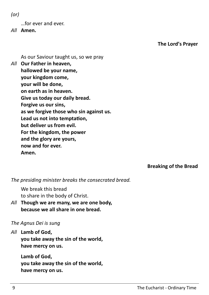*(or)*

…for ever and ever.

*All* **Amen.** 

**The Lord's Prayer**

As our Saviour taught us, so we pray

*All* **Our Father in heaven, hallowed be your name, your kingdom come, your will be done, on earth as in heaven. Give us today our daily bread. Forgive us our sins, as we forgive those who sin against us. Lead us not into temptation, but deliver us from evil. For the kingdom, the power and the glory are yours, now and for ever. Amen.**

**Breaking of the Bread**

*The presiding minister breaks the consecrated bread.*

We break this bread to share in the body of Christ.

*All* **Though we are many, we are one body, because we all share in one bread.**

# *The Agnus Dei is sung*

*All* **Lamb of God,** 

**you take away the sin of the world, have mercy on us.** 

**Lamb of God, you take away the sin of the world, have mercy on us.**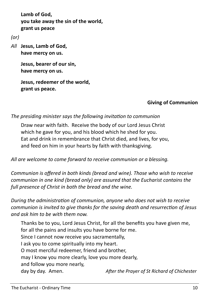**Lamb of God, you take away the sin of the world, grant us peace**

*(or)*

*All* **Jesus, Lamb of God, have mercy on us.**

> **Jesus, bearer of our sin, have mercy on us.**

```
Jesus, redeemer of the world, 
grant us peace.
```
# **Giving of Communion**

*The presiding minister says the following invitation to communion*

Draw near with faith. Receive the body of our Lord Jesus Christ which he gave for you, and his blood which he shed for you. Eat and drink in remembrance that Christ died, and lives, for you, and feed on him in your hearts by faith with thanksgiving.

*All are welcome to come forward to receive communion or a blessing.* 

*Communion is offered in both kinds (bread and wine). Those who wish to receive communion in one kind (bread only) are assured that the Eucharist contains the full presence of Christ in both the bread and the wine.*

*During the administration of communion, anyone who does not wish to receive communion is invited to give thanks for the saving death and resurrection of Jesus and ask him to be with them now.* 

Thanks be to you, Lord Jesus Christ, for all the benefits you have given me, for all the pains and insults you have borne for me. Since I cannot now receive you sacramentally, I ask you to come spiritually into my heart. O most merciful redeemer, friend and brother, may I know you more clearly, love you more dearly, and follow you more nearly, day by day. Amen. *After the Prayer of St Richard of Chichester*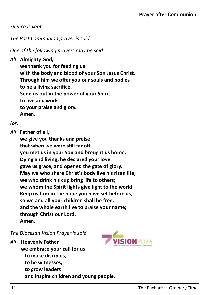*Silence is kept.*

*The Post Communion prayer is said.*

*One of the following prayers may be said*

```
All Almighty God,
```
**we thank you for feeding us with the body and blood of your Son Jesus Christ. Through him we offer you our souls and bodies to be a living sacrifice. Send us out in the power of your Spirit to live and work to your praise and glory. Amen.**

```
(or)
```
*All* **Father of all,**

**we give you thanks and praise, that when we were still far off you met us in your Son and brought us home. Dying and living, he declared your love, gave us grace, and opened the gate of glory. May we who share Christ's body live his risen life; we who drink his cup bring life to others; we whom the Spirit lights give light to the world. Keep us firm in the hope you have set before us, so we and all your children shall be free, and the whole earth live to praise your name; through Christ our Lord. Amen.**

*The Diocesan Vision Prayer is said*

*All* **Heavenly Father,** 

**we embrace your call for us to make disciples, to be witnesses, to grow leaders and inspire children and young people.**